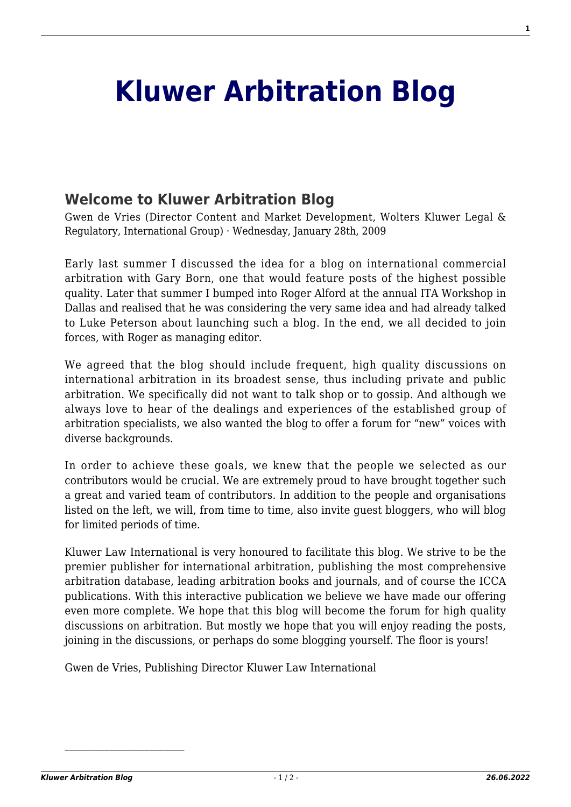## **[Kluwer Arbitration Blog](http://arbitrationblog.kluwerarbitration.com/)**

## **[Welcome to Kluwer Arbitration Blog](http://arbitrationblog.kluwerarbitration.com/2009/01/28/welcome-to-kluwer-arbitration-blog/)**

Gwen de Vries (Director Content and Market Development, Wolters Kluwer Legal & Regulatory, International Group) · Wednesday, January 28th, 2009

Early last summer I discussed the idea for a blog on international commercial arbitration with Gary Born, one that would feature posts of the highest possible quality. Later that summer I bumped into Roger Alford at the annual ITA Workshop in Dallas and realised that he was considering the very same idea and had already talked to Luke Peterson about launching such a blog. In the end, we all decided to join forces, with Roger as managing editor.

We agreed that the blog should include frequent, high quality discussions on international arbitration in its broadest sense, thus including private and public arbitration. We specifically did not want to talk shop or to gossip. And although we always love to hear of the dealings and experiences of the established group of arbitration specialists, we also wanted the blog to offer a forum for "new" voices with diverse backgrounds.

In order to achieve these goals, we knew that the people we selected as our contributors would be crucial. We are extremely proud to have brought together such a great and varied team of contributors. In addition to the people and organisations listed on the left, we will, from time to time, also invite guest bloggers, who will blog for limited periods of time.

Kluwer Law International is very honoured to facilitate this blog. We strive to be the premier publisher for international arbitration, publishing the most comprehensive arbitration database, leading arbitration books and journals, and of course the ICCA publications. With this interactive publication we believe we have made our offering even more complete. We hope that this blog will become the forum for high quality discussions on arbitration. But mostly we hope that you will enjoy reading the posts, joining in the discussions, or perhaps do some blogging yourself. The floor is yours!

Gwen de Vries, Publishing Director Kluwer Law International